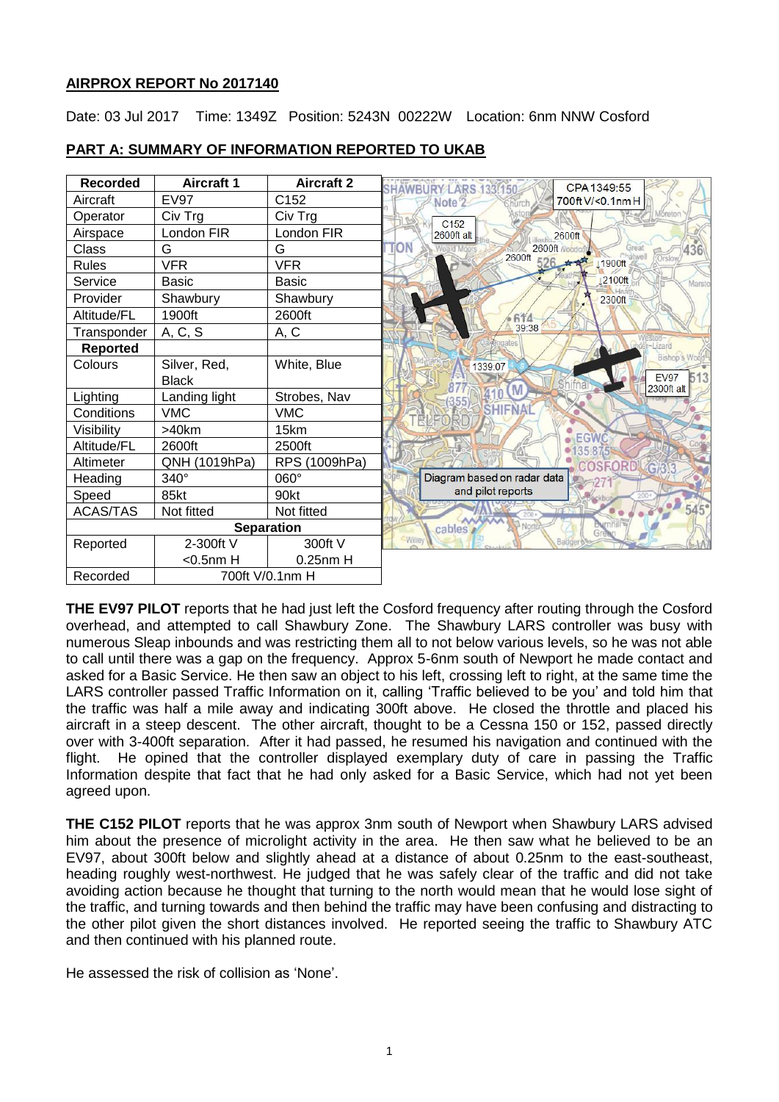# **AIRPROX REPORT No 2017140**

Date: 03 Jul 2017 Time: 1349Z Position: 5243N 00222W Location: 6nm NNW Cosford

| <b>Recorded</b>   | <b>Aircraft 1</b> | <b>Aircraft 2</b> | CPA 1349:55<br><b>AWBURY LARS 1331150</b> |
|-------------------|-------------------|-------------------|-------------------------------------------|
| Aircraft          | <b>EV97</b>       | C <sub>152</sub>  | 700ft V/<0.1nmH<br>Note <sup>7</sup>      |
| Operator          | Civ Trg           | Civ Trg           | loreton<br>C <sub>152</sub>               |
| Airspace          | London FIR        | London FIR        | 2600ft alt<br>2600ft                      |
| Class             | G                 | G                 | <b>TON</b><br>2600ft No.<br>436<br>2600ft |
| <b>Rules</b>      | <b>VFR</b>        | <b>VFR</b>        | 1900ft<br>526                             |
| Service           | <b>Basic</b>      | <b>Basic</b>      | 12100ft<br>Marsto                         |
| Provider          | Shawbury          | Shawbury          | 2300ft                                    |
| Altitude/FL       | 1900ft            | 2600ft            |                                           |
| Transponder       | A, C, S           | A, C              | 39:38                                     |
| Reported          |                   |                   | izard                                     |
| Colours           | Silver, Red,      | White, Blue       | Bishop's Woo<br>1339:07                   |
|                   | <b>Black</b>      |                   | <b>EV97</b><br>2300ft alt                 |
| Lighting          | Landing light     | Strobes, Nav      | M                                         |
| Conditions        | <b>VMC</b>        | <b>VMC</b>        | <b>SHIFNA</b>                             |
| Visibility        | $>40$ km          | 15km              | <b>EGWC</b>                               |
| Altitude/FL       | 2600ft            | 2500ft            | 35.875                                    |
| Altimeter         | QNH (1019hPa)     | RPS (1009hPa)     | COSFORD<br>GBIS                           |
| Heading           | $340^\circ$       | 060°              | Diagram based on radar data               |
| Speed             | 85kt              | 90kt              | and pilot reports                         |
| <b>ACAS/TAS</b>   | Not fitted        | Not fitted        | mun                                       |
| <b>Separation</b> |                   |                   | cables                                    |
| Reported          | 2-300ft V         | 300ft V           | Willey                                    |
|                   | $<$ 0.5 $nm$ H    | $0.25$ nm $H$     |                                           |
| Recorded          | 700ft V/0.1nm H   |                   |                                           |

# **PART A: SUMMARY OF INFORMATION REPORTED TO UKAB**

**THE EV97 PILOT** reports that he had just left the Cosford frequency after routing through the Cosford overhead, and attempted to call Shawbury Zone. The Shawbury LARS controller was busy with numerous Sleap inbounds and was restricting them all to not below various levels, so he was not able to call until there was a gap on the frequency. Approx 5-6nm south of Newport he made contact and asked for a Basic Service. He then saw an object to his left, crossing left to right, at the same time the LARS controller passed Traffic Information on it, calling 'Traffic believed to be you' and told him that the traffic was half a mile away and indicating 300ft above. He closed the throttle and placed his aircraft in a steep descent. The other aircraft, thought to be a Cessna 150 or 152, passed directly over with 3-400ft separation. After it had passed, he resumed his navigation and continued with the flight. He opined that the controller displayed exemplary duty of care in passing the Traffic Information despite that fact that he had only asked for a Basic Service, which had not yet been agreed upon.

**THE C152 PILOT** reports that he was approx 3nm south of Newport when Shawbury LARS advised him about the presence of microlight activity in the area. He then saw what he believed to be an EV97, about 300ft below and slightly ahead at a distance of about 0.25nm to the east-southeast, heading roughly west-northwest. He judged that he was safely clear of the traffic and did not take avoiding action because he thought that turning to the north would mean that he would lose sight of the traffic, and turning towards and then behind the traffic may have been confusing and distracting to the other pilot given the short distances involved. He reported seeing the traffic to Shawbury ATC and then continued with his planned route.

He assessed the risk of collision as 'None'.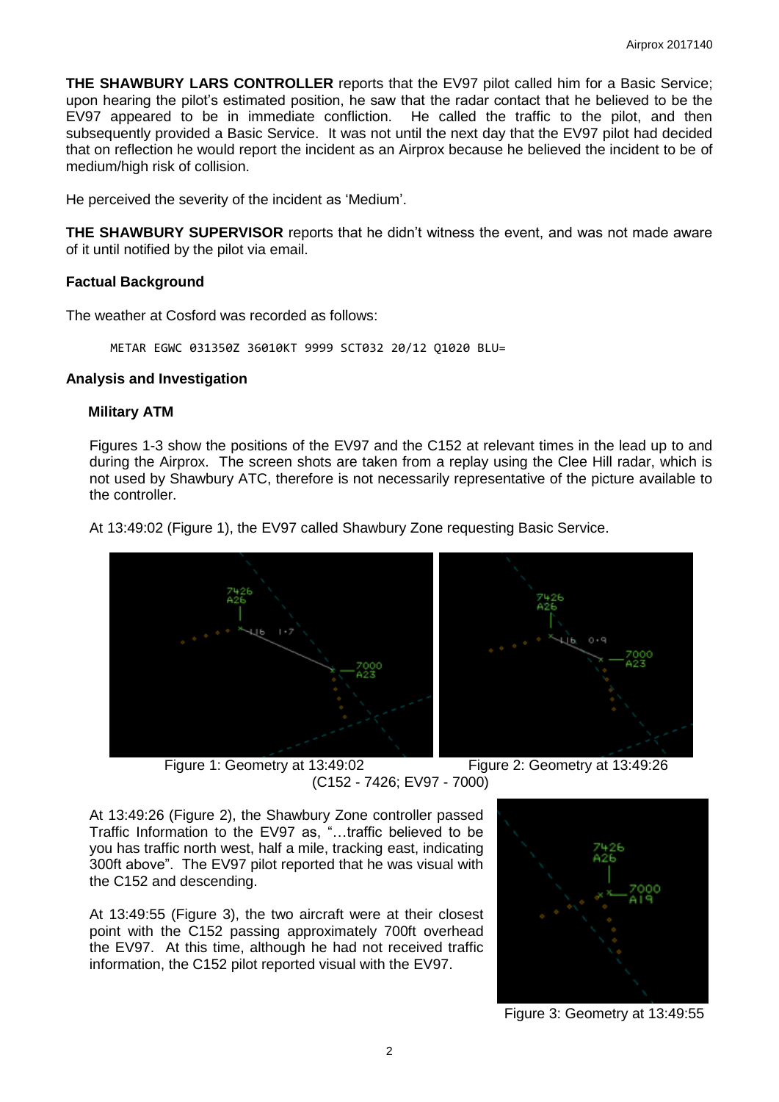**THE SHAWBURY LARS CONTROLLER** reports that the EV97 pilot called him for a Basic Service; upon hearing the pilot's estimated position, he saw that the radar contact that he believed to be the EV97 appeared to be in immediate confliction. He called the traffic to the pilot, and then subsequently provided a Basic Service. It was not until the next day that the EV97 pilot had decided that on reflection he would report the incident as an Airprox because he believed the incident to be of medium/high risk of collision.

He perceived the severity of the incident as 'Medium'.

**THE SHAWBURY SUPERVISOR** reports that he didn't witness the event, and was not made aware of it until notified by the pilot via email.

### **Factual Background**

The weather at Cosford was recorded as follows:

METAR EGWC 031350Z 36010KT 9999 SCT032 20/12 Q1020 BLU=

### **Analysis and Investigation**

### **Military ATM**

Figures 1-3 show the positions of the EV97 and the C152 at relevant times in the lead up to and during the Airprox. The screen shots are taken from a replay using the Clee Hill radar, which is not used by Shawbury ATC, therefore is not necessarily representative of the picture available to the controller.

At 13:49:02 (Figure 1), the EV97 called Shawbury Zone requesting Basic Service.





 Figure 1: Geometry at 13:49:02 Figure 2: Geometry at 13:49:26 (C152 - 7426; EV97 - 7000)

At 13:49:26 (Figure 2), the Shawbury Zone controller passed Traffic Information to the EV97 as, "…traffic believed to be you has traffic north west, half a mile, tracking east, indicating 300ft above". The EV97 pilot reported that he was visual with the C152 and descending.

At 13:49:55 (Figure 3), the two aircraft were at their closest point with the C152 passing approximately 700ft overhead the EV97. At this time, although he had not received traffic information, the C152 pilot reported visual with the EV97.



Figure 3: Geometry at 13:49:55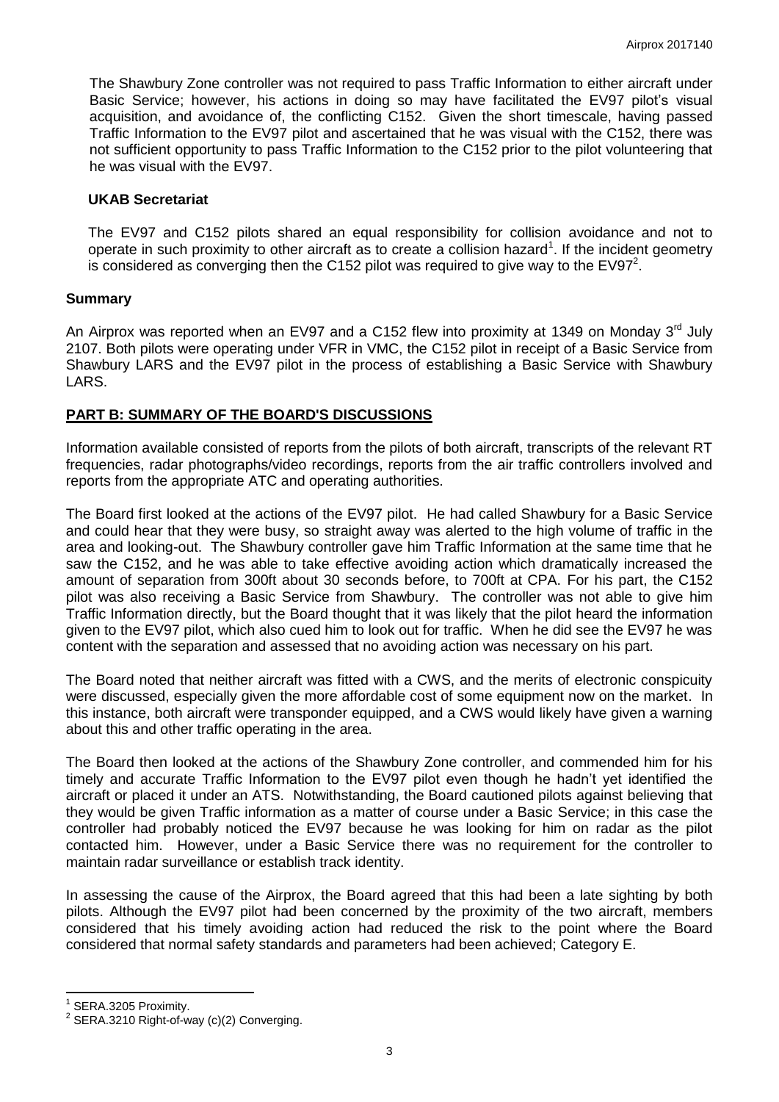The Shawbury Zone controller was not required to pass Traffic Information to either aircraft under Basic Service; however, his actions in doing so may have facilitated the EV97 pilot's visual acquisition, and avoidance of, the conflicting C152. Given the short timescale, having passed Traffic Information to the EV97 pilot and ascertained that he was visual with the C152, there was not sufficient opportunity to pass Traffic Information to the C152 prior to the pilot volunteering that he was visual with the EV97.

## **UKAB Secretariat**

The EV97 and C152 pilots shared an equal responsibility for collision avoidance and not to operate in such proximity to other aircraft as to create a collision hazard<sup>1</sup>. If the incident geometry is considered as converging then the C152 pilot was required to give way to the EV97 $2$ .

# **Summary**

An Airprox was reported when an EV97 and a C152 flew into proximity at 1349 on Monday 3<sup>rd</sup> July 2107. Both pilots were operating under VFR in VMC, the C152 pilot in receipt of a Basic Service from Shawbury LARS and the EV97 pilot in the process of establishing a Basic Service with Shawbury LARS.

# **PART B: SUMMARY OF THE BOARD'S DISCUSSIONS**

Information available consisted of reports from the pilots of both aircraft, transcripts of the relevant RT frequencies, radar photographs/video recordings, reports from the air traffic controllers involved and reports from the appropriate ATC and operating authorities.

The Board first looked at the actions of the EV97 pilot. He had called Shawbury for a Basic Service and could hear that they were busy, so straight away was alerted to the high volume of traffic in the area and looking-out. The Shawbury controller gave him Traffic Information at the same time that he saw the C152, and he was able to take effective avoiding action which dramatically increased the amount of separation from 300ft about 30 seconds before, to 700ft at CPA. For his part, the C152 pilot was also receiving a Basic Service from Shawbury. The controller was not able to give him Traffic Information directly, but the Board thought that it was likely that the pilot heard the information given to the EV97 pilot, which also cued him to look out for traffic. When he did see the EV97 he was content with the separation and assessed that no avoiding action was necessary on his part.

The Board noted that neither aircraft was fitted with a CWS, and the merits of electronic conspicuity were discussed, especially given the more affordable cost of some equipment now on the market. In this instance, both aircraft were transponder equipped, and a CWS would likely have given a warning about this and other traffic operating in the area.

The Board then looked at the actions of the Shawbury Zone controller, and commended him for his timely and accurate Traffic Information to the EV97 pilot even though he hadn't yet identified the aircraft or placed it under an ATS. Notwithstanding, the Board cautioned pilots against believing that they would be given Traffic information as a matter of course under a Basic Service; in this case the controller had probably noticed the EV97 because he was looking for him on radar as the pilot contacted him. However, under a Basic Service there was no requirement for the controller to maintain radar surveillance or establish track identity.

In assessing the cause of the Airprox, the Board agreed that this had been a late sighting by both pilots. Although the EV97 pilot had been concerned by the proximity of the two aircraft, members considered that his timely avoiding action had reduced the risk to the point where the Board considered that normal safety standards and parameters had been achieved; Category E.

 $\overline{\phantom{a}}$ 

<sup>1</sup> SERA.3205 Proximity.

 $2$  SERA.3210 Right-of-way (c)(2) Converging.